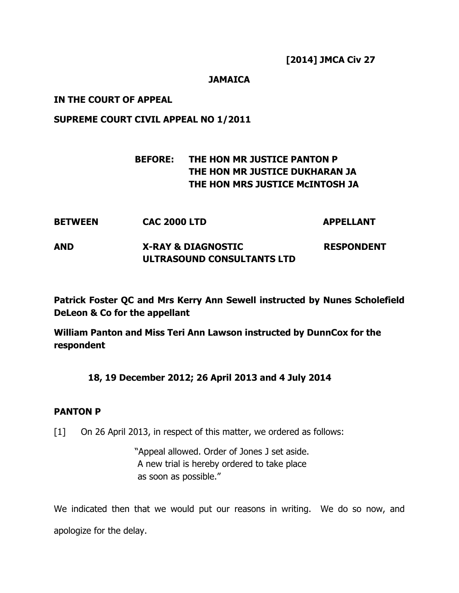[2014] JMCA Civ 27

# **JAMAICA**

## IN THE COURT OF APPEAL

## SUPREME COURT CIVIL APPEAL NO 1/2011

# BEFORE: THE HON MR JUSTICE PANTON P THE HON MR JUSTICE DUKHARAN JA THE HON MRS JUSTICE McINTOSH JA

BETWEEN CAC 2000 LTD APPELLANT AND X-RAY & DIAGNOSTIC RESPONDENT ULTRASOUND CONSULTANTS LTD

Patrick Foster QC and Mrs Kerry Ann Sewell instructed by Nunes Scholefield DeLeon & Co for the appellant

William Panton and Miss Teri Ann Lawson instructed by DunnCox for the respondent

# 18, 19 December 2012; 26 April 2013 and 4 July 2014

#### PANTON P

[1] On 26 April 2013, in respect of this matter, we ordered as follows:

 "Appeal allowed. Order of Jones J set aside. A new trial is hereby ordered to take place as soon as possible."

We indicated then that we would put our reasons in writing. We do so now, and apologize for the delay.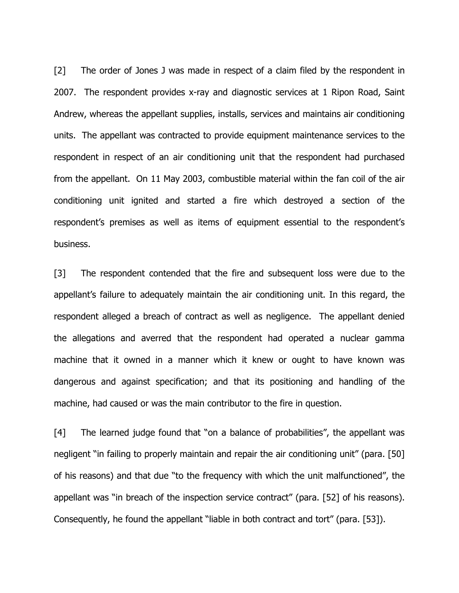[2] The order of Jones J was made in respect of a claim filed by the respondent in 2007. The respondent provides x-ray and diagnostic services at 1 Ripon Road, Saint Andrew, whereas the appellant supplies, installs, services and maintains air conditioning units. The appellant was contracted to provide equipment maintenance services to the respondent in respect of an air conditioning unit that the respondent had purchased from the appellant. On 11 May 2003, combustible material within the fan coil of the air conditioning unit ignited and started a fire which destroyed a section of the respondent's premises as well as items of equipment essential to the respondent's business.

[3] The respondent contended that the fire and subsequent loss were due to the appellant's failure to adequately maintain the air conditioning unit. In this regard, the respondent alleged a breach of contract as well as negligence. The appellant denied the allegations and averred that the respondent had operated a nuclear gamma machine that it owned in a manner which it knew or ought to have known was dangerous and against specification; and that its positioning and handling of the machine, had caused or was the main contributor to the fire in question.

[4] The learned judge found that "on a balance of probabilities", the appellant was negligent "in failing to properly maintain and repair the air conditioning unit" (para. [50] of his reasons) and that due "to the frequency with which the unit malfunctioned", the appellant was "in breach of the inspection service contract" (para. [52] of his reasons). Consequently, he found the appellant "liable in both contract and tort" (para. [53]).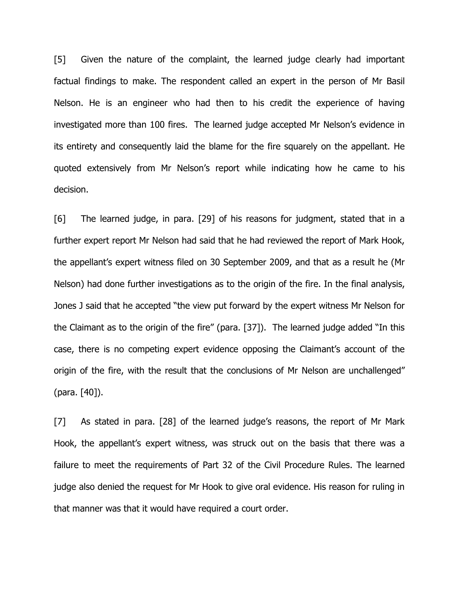[5] Given the nature of the complaint, the learned judge clearly had important factual findings to make. The respondent called an expert in the person of Mr Basil Nelson. He is an engineer who had then to his credit the experience of having investigated more than 100 fires. The learned judge accepted Mr Nelson's evidence in its entirety and consequently laid the blame for the fire squarely on the appellant. He quoted extensively from Mr Nelson's report while indicating how he came to his decision.

[6] The learned judge, in para. [29] of his reasons for judgment, stated that in a further expert report Mr Nelson had said that he had reviewed the report of Mark Hook, the appellant's expert witness filed on 30 September 2009, and that as a result he (Mr Nelson) had done further investigations as to the origin of the fire. In the final analysis, Jones J said that he accepted "the view put forward by the expert witness Mr Nelson for the Claimant as to the origin of the fire" (para. [37]). The learned judge added "In this case, there is no competing expert evidence opposing the Claimant's account of the origin of the fire, with the result that the conclusions of Mr Nelson are unchallenged" (para. [40]).

[7] As stated in para. [28] of the learned judge's reasons, the report of Mr Mark Hook, the appellant's expert witness, was struck out on the basis that there was a failure to meet the requirements of Part 32 of the Civil Procedure Rules. The learned judge also denied the request for Mr Hook to give oral evidence. His reason for ruling in that manner was that it would have required a court order.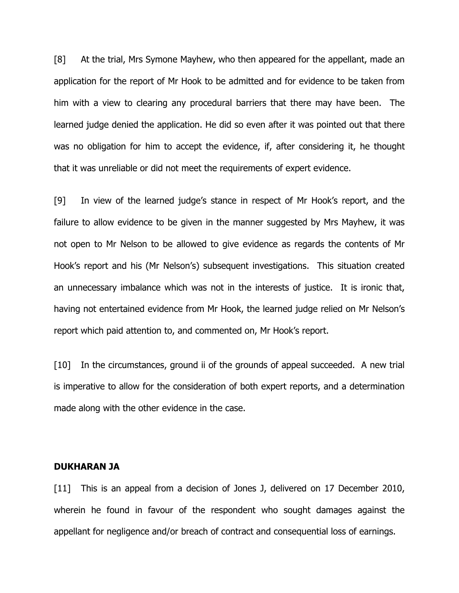[8] At the trial, Mrs Symone Mayhew, who then appeared for the appellant, made an application for the report of Mr Hook to be admitted and for evidence to be taken from him with a view to clearing any procedural barriers that there may have been. The learned judge denied the application. He did so even after it was pointed out that there was no obligation for him to accept the evidence, if, after considering it, he thought that it was unreliable or did not meet the requirements of expert evidence.

[9] In view of the learned judge's stance in respect of Mr Hook's report, and the failure to allow evidence to be given in the manner suggested by Mrs Mayhew, it was not open to Mr Nelson to be allowed to give evidence as regards the contents of Mr Hook's report and his (Mr Nelson's) subsequent investigations. This situation created an unnecessary imbalance which was not in the interests of justice. It is ironic that, having not entertained evidence from Mr Hook, the learned judge relied on Mr Nelson's report which paid attention to, and commented on, Mr Hook's report.

[10] In the circumstances, ground ii of the grounds of appeal succeeded. A new trial is imperative to allow for the consideration of both expert reports, and a determination made along with the other evidence in the case.

#### DUKHARAN JA

[11] This is an appeal from a decision of Jones J, delivered on 17 December 2010, wherein he found in favour of the respondent who sought damages against the appellant for negligence and/or breach of contract and consequential loss of earnings.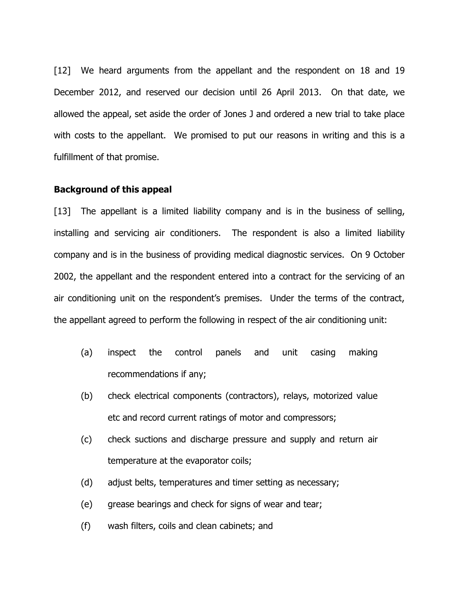[12] We heard arguments from the appellant and the respondent on 18 and 19 December 2012, and reserved our decision until 26 April 2013. On that date, we allowed the appeal, set aside the order of Jones J and ordered a new trial to take place with costs to the appellant. We promised to put our reasons in writing and this is a fulfillment of that promise.

#### Background of this appeal

[13] The appellant is a limited liability company and is in the business of selling, installing and servicing air conditioners. The respondent is also a limited liability company and is in the business of providing medical diagnostic services. On 9 October 2002, the appellant and the respondent entered into a contract for the servicing of an air conditioning unit on the respondent's premises. Under the terms of the contract, the appellant agreed to perform the following in respect of the air conditioning unit:

- (a) inspect the control panels and unit casing making recommendations if any;
- (b) check electrical components (contractors), relays, motorized value etc and record current ratings of motor and compressors;
- (c) check suctions and discharge pressure and supply and return air temperature at the evaporator coils;
- (d) adjust belts, temperatures and timer setting as necessary;
- (e) grease bearings and check for signs of wear and tear;
- (f) wash filters, coils and clean cabinets; and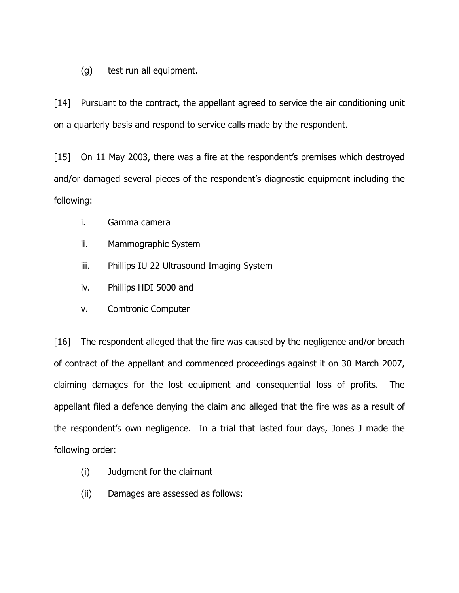(g) test run all equipment.

[14] Pursuant to the contract, the appellant agreed to service the air conditioning unit on a quarterly basis and respond to service calls made by the respondent.

[15] On 11 May 2003, there was a fire at the respondent's premises which destroyed and/or damaged several pieces of the respondent's diagnostic equipment including the following:

- i. Gamma camera
- ii. Mammographic System
- iii. Phillips IU 22 Ultrasound Imaging System
- iv. Phillips HDI 5000 and
- v. Comtronic Computer

[16] The respondent alleged that the fire was caused by the negligence and/or breach of contract of the appellant and commenced proceedings against it on 30 March 2007, claiming damages for the lost equipment and consequential loss of profits. The appellant filed a defence denying the claim and alleged that the fire was as a result of the respondent's own negligence. In a trial that lasted four days, Jones J made the following order:

- (i) Judgment for the claimant
- (ii) Damages are assessed as follows: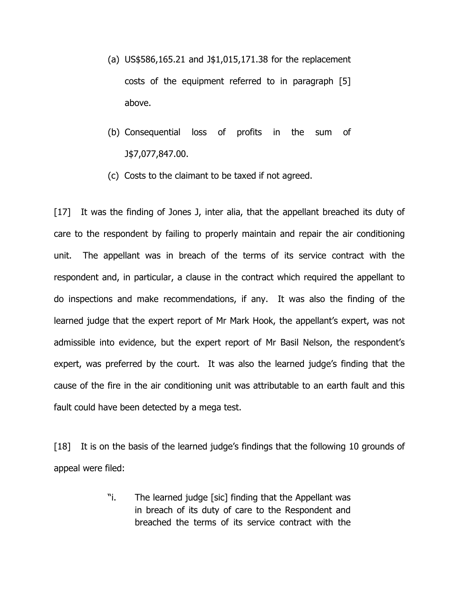- (a) US\$586,165.21 and J\$1,015,171.38 for the replacement costs of the equipment referred to in paragraph [5] above.
- (b) Consequential loss of profits in the sum of J\$7,077,847.00.
- (c) Costs to the claimant to be taxed if not agreed.

[17] It was the finding of Jones J, inter alia, that the appellant breached its duty of care to the respondent by failing to properly maintain and repair the air conditioning unit. The appellant was in breach of the terms of its service contract with the respondent and, in particular, a clause in the contract which required the appellant to do inspections and make recommendations, if any. It was also the finding of the learned judge that the expert report of Mr Mark Hook, the appellant's expert, was not admissible into evidence, but the expert report of Mr Basil Nelson, the respondent's expert, was preferred by the court. It was also the learned judge's finding that the cause of the fire in the air conditioning unit was attributable to an earth fault and this fault could have been detected by a mega test.

[18] It is on the basis of the learned judge's findings that the following 10 grounds of appeal were filed:

> "i. The learned judge [sic] finding that the Appellant was in breach of its duty of care to the Respondent and breached the terms of its service contract with the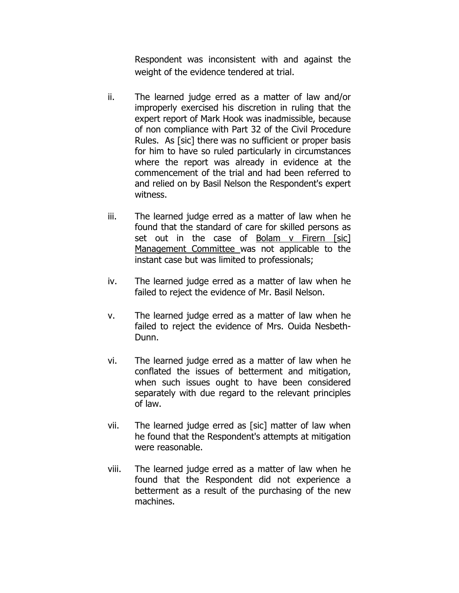Respondent was inconsistent with and against the weight of the evidence tendered at trial.

- ii. The learned judge erred as a matter of law and/or improperly exercised his discretion in ruling that the expert report of Mark Hook was inadmissible, because of non compliance with Part 32 of the Civil Procedure Rules. As [sic] there was no sufficient or proper basis for him to have so ruled particularly in circumstances where the report was already in evidence at the commencement of the trial and had been referred to and relied on by Basil Nelson the Respondent's expert witness.
- iii. The learned judge erred as a matter of law when he found that the standard of care for skilled persons as set out in the case of Bolam v Firern [sic] Management Committee was not applicable to the instant case but was limited to professionals;
- iv. The learned judge erred as a matter of law when he failed to reject the evidence of Mr. Basil Nelson.
- v. The learned judge erred as a matter of law when he failed to reject the evidence of Mrs. Ouida Nesbeth-Dunn.
- vi. The learned judge erred as a matter of law when he conflated the issues of betterment and mitigation, when such issues ought to have been considered separately with due regard to the relevant principles of law.
- vii. The learned judge erred as [sic] matter of law when he found that the Respondent's attempts at mitigation were reasonable.
- viii. The learned judge erred as a matter of law when he found that the Respondent did not experience a betterment as a result of the purchasing of the new machines.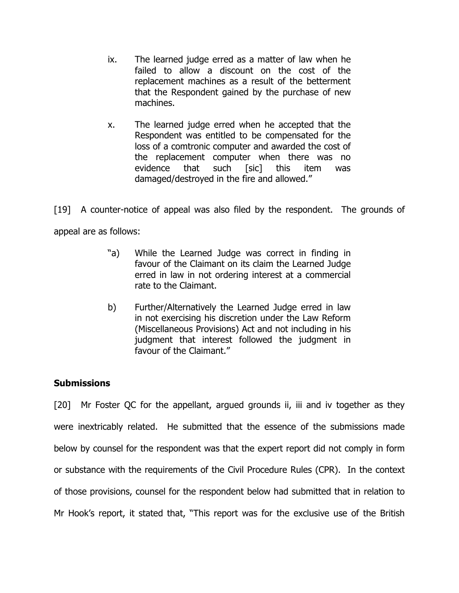- ix. The learned judge erred as a matter of law when he failed to allow a discount on the cost of the replacement machines as a result of the betterment that the Respondent gained by the purchase of new machines.
- x. The learned judge erred when he accepted that the Respondent was entitled to be compensated for the loss of a comtronic computer and awarded the cost of the replacement computer when there was no evidence that such [sic] this item was damaged/destroyed in the fire and allowed."

[19] A counter-notice of appeal was also filed by the respondent. The grounds of appeal are as follows:

- "a) While the Learned Judge was correct in finding in favour of the Claimant on its claim the Learned Judge erred in law in not ordering interest at a commercial rate to the Claimant.
- b) Further/Alternatively the Learned Judge erred in law in not exercising his discretion under the Law Reform (Miscellaneous Provisions) Act and not including in his judgment that interest followed the judgment in favour of the Claimant."

# **Submissions**

[20] Mr Foster QC for the appellant, argued grounds ii, iii and iv together as they were inextricably related. He submitted that the essence of the submissions made below by counsel for the respondent was that the expert report did not comply in form or substance with the requirements of the Civil Procedure Rules (CPR). In the context of those provisions, counsel for the respondent below had submitted that in relation to Mr Hook's report, it stated that, "This report was for the exclusive use of the British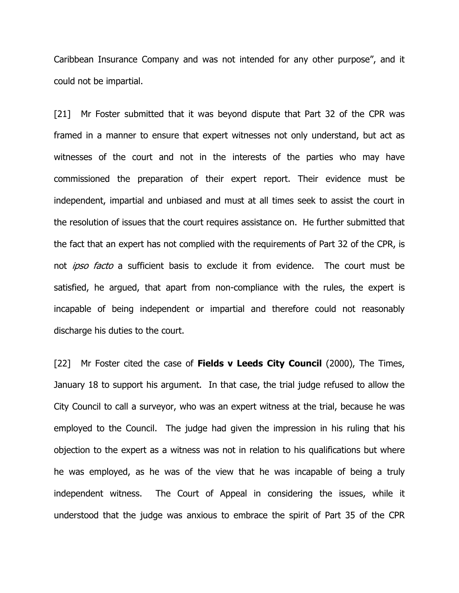Caribbean Insurance Company and was not intended for any other purpose", and it could not be impartial.

[21] Mr Foster submitted that it was beyond dispute that Part 32 of the CPR was framed in a manner to ensure that expert witnesses not only understand, but act as witnesses of the court and not in the interests of the parties who may have commissioned the preparation of their expert report. Their evidence must be independent, impartial and unbiased and must at all times seek to assist the court in the resolution of issues that the court requires assistance on. He further submitted that the fact that an expert has not complied with the requirements of Part 32 of the CPR, is not *ipso facto* a sufficient basis to exclude it from evidence. The court must be satisfied, he argued, that apart from non-compliance with the rules, the expert is incapable of being independent or impartial and therefore could not reasonably discharge his duties to the court.

[22] Mr Foster cited the case of **Fields v Leeds City Council** (2000), The Times, January 18 to support his argument. In that case, the trial judge refused to allow the City Council to call a surveyor, who was an expert witness at the trial, because he was employed to the Council. The judge had given the impression in his ruling that his objection to the expert as a witness was not in relation to his qualifications but where he was employed, as he was of the view that he was incapable of being a truly independent witness. The Court of Appeal in considering the issues, while it understood that the judge was anxious to embrace the spirit of Part 35 of the CPR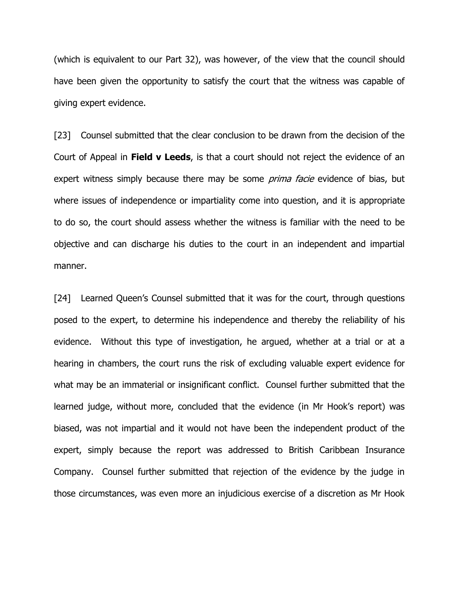(which is equivalent to our Part 32), was however, of the view that the council should have been given the opportunity to satisfy the court that the witness was capable of giving expert evidence.

[23] Counsel submitted that the clear conclusion to be drawn from the decision of the Court of Appeal in Field v Leeds, is that a court should not reject the evidence of an expert witness simply because there may be some *prima facie* evidence of bias, but where issues of independence or impartiality come into question, and it is appropriate to do so, the court should assess whether the witness is familiar with the need to be objective and can discharge his duties to the court in an independent and impartial manner.

[24] Learned Queen's Counsel submitted that it was for the court, through questions posed to the expert, to determine his independence and thereby the reliability of his evidence. Without this type of investigation, he argued, whether at a trial or at a hearing in chambers, the court runs the risk of excluding valuable expert evidence for what may be an immaterial or insignificant conflict. Counsel further submitted that the learned judge, without more, concluded that the evidence (in Mr Hook's report) was biased, was not impartial and it would not have been the independent product of the expert, simply because the report was addressed to British Caribbean Insurance Company. Counsel further submitted that rejection of the evidence by the judge in those circumstances, was even more an injudicious exercise of a discretion as Mr Hook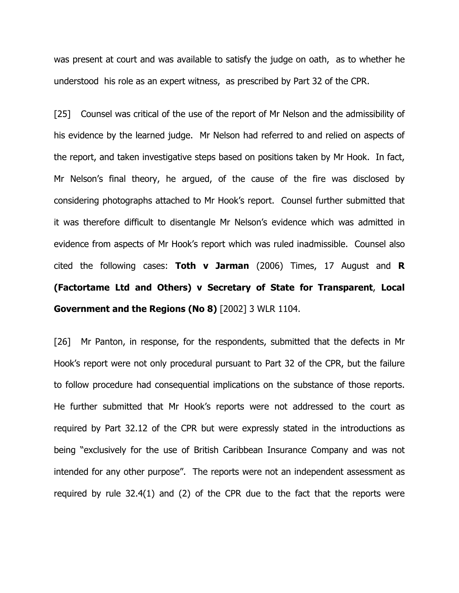was present at court and was available to satisfy the judge on oath, as to whether he understood his role as an expert witness, as prescribed by Part 32 of the CPR.

[25] Counsel was critical of the use of the report of Mr Nelson and the admissibility of his evidence by the learned judge. Mr Nelson had referred to and relied on aspects of the report, and taken investigative steps based on positions taken by Mr Hook. In fact, Mr Nelson's final theory, he argued, of the cause of the fire was disclosed by considering photographs attached to Mr Hook's report. Counsel further submitted that it was therefore difficult to disentangle Mr Nelson's evidence which was admitted in evidence from aspects of Mr Hook's report which was ruled inadmissible. Counsel also cited the following cases: **Toth v Jarman** (2006) Times, 17 August and **R** (Factortame Ltd and Others) v Secretary of State for Transparent, Local Government and the Regions (No 8) [2002] 3 WLR 1104.

[26] Mr Panton, in response, for the respondents, submitted that the defects in Mr Hook's report were not only procedural pursuant to Part 32 of the CPR, but the failure to follow procedure had consequential implications on the substance of those reports. He further submitted that Mr Hook's reports were not addressed to the court as required by Part 32.12 of the CPR but were expressly stated in the introductions as being "exclusively for the use of British Caribbean Insurance Company and was not intended for any other purpose". The reports were not an independent assessment as required by rule 32.4(1) and (2) of the CPR due to the fact that the reports were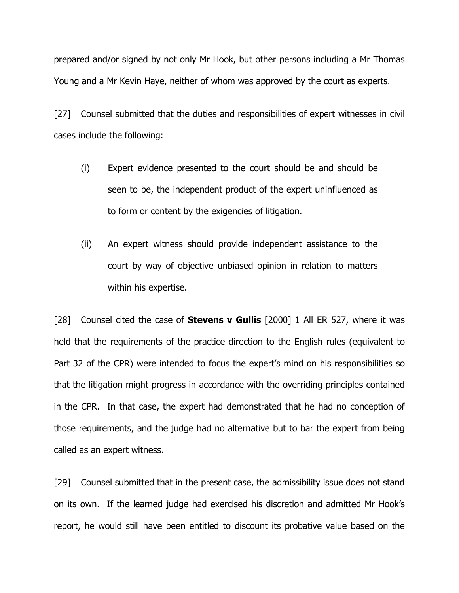prepared and/or signed by not only Mr Hook, but other persons including a Mr Thomas Young and a Mr Kevin Haye, neither of whom was approved by the court as experts.

[27] Counsel submitted that the duties and responsibilities of expert witnesses in civil cases include the following:

- (i) Expert evidence presented to the court should be and should be seen to be, the independent product of the expert uninfluenced as to form or content by the exigencies of litigation.
- (ii) An expert witness should provide independent assistance to the court by way of objective unbiased opinion in relation to matters within his expertise.

[28] Counsel cited the case of **Stevens v Gullis** [2000] 1 All ER 527, where it was held that the requirements of the practice direction to the English rules (equivalent to Part 32 of the CPR) were intended to focus the expert's mind on his responsibilities so that the litigation might progress in accordance with the overriding principles contained in the CPR. In that case, the expert had demonstrated that he had no conception of those requirements, and the judge had no alternative but to bar the expert from being called as an expert witness.

[29] Counsel submitted that in the present case, the admissibility issue does not stand on its own. If the learned judge had exercised his discretion and admitted Mr Hook's report, he would still have been entitled to discount its probative value based on the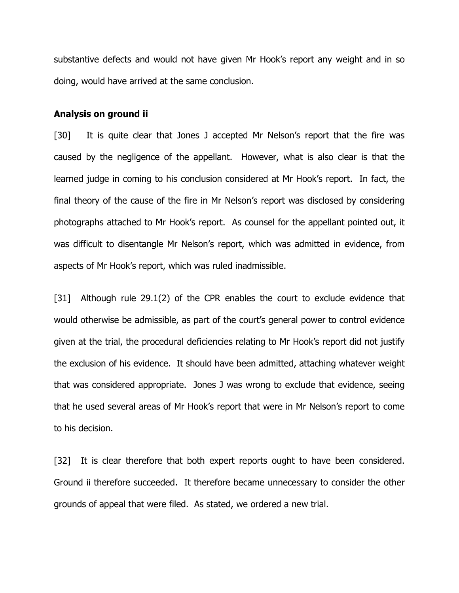substantive defects and would not have given Mr Hook's report any weight and in so doing, would have arrived at the same conclusion.

#### Analysis on ground ii

[30] It is quite clear that Jones J accepted Mr Nelson's report that the fire was caused by the negligence of the appellant. However, what is also clear is that the learned judge in coming to his conclusion considered at Mr Hook's report. In fact, the final theory of the cause of the fire in Mr Nelson's report was disclosed by considering photographs attached to Mr Hook's report. As counsel for the appellant pointed out, it was difficult to disentangle Mr Nelson's report, which was admitted in evidence, from aspects of Mr Hook's report, which was ruled inadmissible.

[31] Although rule 29.1(2) of the CPR enables the court to exclude evidence that would otherwise be admissible, as part of the court's general power to control evidence given at the trial, the procedural deficiencies relating to Mr Hook's report did not justify the exclusion of his evidence. It should have been admitted, attaching whatever weight that was considered appropriate. Jones J was wrong to exclude that evidence, seeing that he used several areas of Mr Hook's report that were in Mr Nelson's report to come to his decision.

[32] It is clear therefore that both expert reports ought to have been considered. Ground ii therefore succeeded. It therefore became unnecessary to consider the other grounds of appeal that were filed. As stated, we ordered a new trial.